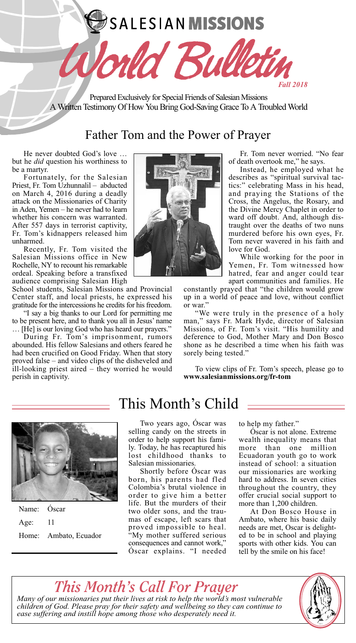**SALESIAN MISSIONS** 

Prepared Exclusively for Special Friends of Salesian Missions A Written Testimony Of How You Bring God-Saving Grace To A Troubled World

ld Bul

# Father Tom and the Power of Prayer

He never doubted God's love … but he *did* question his worthiness to be a martyr.

Fortunately, for the Salesian Priest, Fr. Tom Uzhunnalil – abducted on March 4, 2016 during a deadly attack on the Missionaries of Charity in Aden, Yemen – he never had to learn whether his concern was warranted. After 557 days in terrorist captivity, Fr. Tom's kidnappers released him unharmed.

Recently, Fr. Tom visited the Salesian Missions office in New Rochelle, NY to recount his remarkable ordeal. Speaking before a transfixed audience comprising Salesian High

School students, Salesian Missions and Provincial Center staff, and local priests, he expressed his gratitude for the intercessions he credits for his freedom.

"I say a big thanks to our Lord for permitting me to be present here, and to thank you all in Jesus' name … [He] is our loving God who has heard our prayers."

During Fr. Tom's imprisonment, rumors abounded. His fellow Salesians and others feared he had been crucified on Good Friday. When that story proved false – and video clips of the disheveled and ill-looking priest aired – they worried he would perish in captivity.



Fr. Tom never worried. "No fear of death overtook me," he says.

*Fall 2018*

Instead, he employed what he describes as "spiritual survival tactics:" celebrating Mass in his head, and praying the Stations of the Cross, the Angelus, the Rosary, and the Divine Mercy Chaplet in order to ward off doubt. And, although distraught over the deaths of two nuns murdered before his own eyes, Fr. Tom never wavered in his faith and love for God.

While working for the poor in Yemen, Fr. Tom witnessed how hatred, fear and anger could tear apart communities and families. He

constantly prayed that "the children would grow up in a world of peace and love, without conflict or war.'

"We were truly in the presence of a holy man," says Fr. Mark Hyde, director of Salesian Missions, of Fr. Tom's visit. "His humility and deference to God, Mother Mary and Don Bosco shone as he described a time when his faith was sorely being tested."

To view clips of Fr. Tom's speech, please go to **www.salesianmissions.org/fr-tom**



Name: Óscar Age: 11 Home: Ambato, Ecuador

# This Month's Child

Two years ago, Óscar was selling candy on the streets in order to help support his family. Today, he has recaptured his lost childhood thanks to Salesian missionaries.

Shortly before Óscar was born, his parents had fled Colombia's brutal violence in order to give him a better life. But the murders of their two older sons, and the traumas of escape, left scars that proved impossible to heal. "My mother suffered serious consequences and cannot work," Óscar explains. "I needed to help my father."

Óscar is not alone. Extreme wealth inequality means that<br>more than one million more than one million Ecuadoran youth go to work instead of school: a situation our missionaries are working hard to address. In seven cities throughout the country, they offer crucial social support to more than 1,200 children.

At Don Bosco House in Ambato, where his basic daily needs are met, Oscar is delighted to be in school and playing sports with other kids. You can tell by the smile on his face!

*This Month's Call For Prayer Many of our missionaries put their lives at risk to help the world's most vulnerable children of God. Please pray for their safety and wellbeing so they can continue to*

*ease suffering and instill hope among those who desperately need it.*